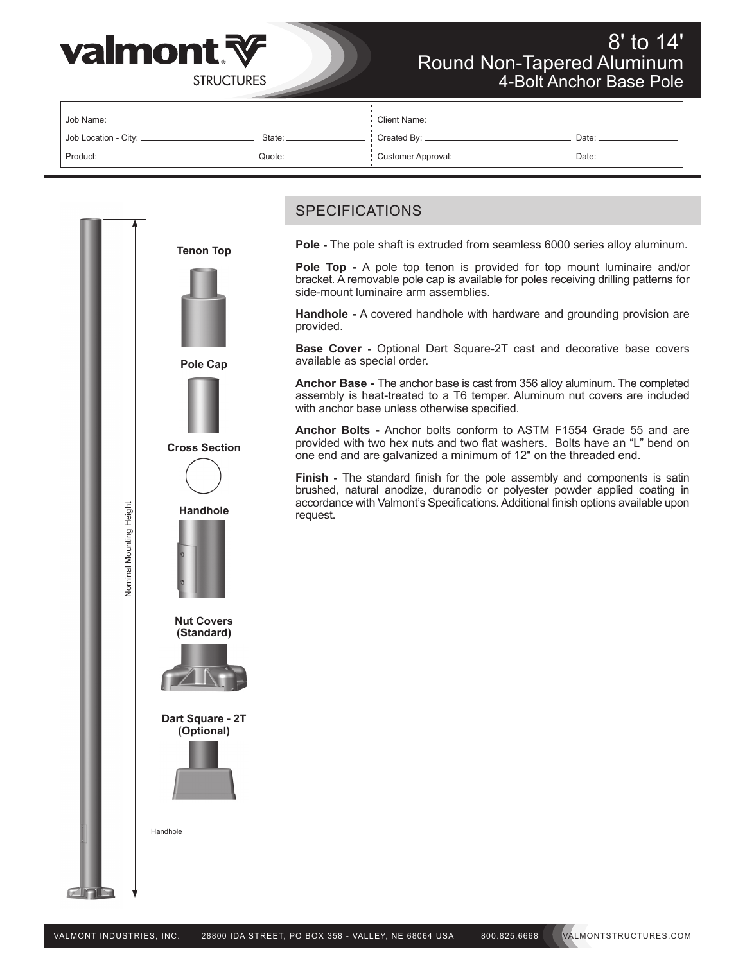

# 8' to 14' Round Non-Tapered Aluminum 4-Bolt Anchor Base Pole

| l Job Name: _           |        | <b>Client Name:</b>  |       |  |  |  |
|-------------------------|--------|----------------------|-------|--|--|--|
| Job Location - City: __ | State: | Created By: _____    | Date: |  |  |  |
| Product:                | Quote: | Customer Approval: _ | Date: |  |  |  |